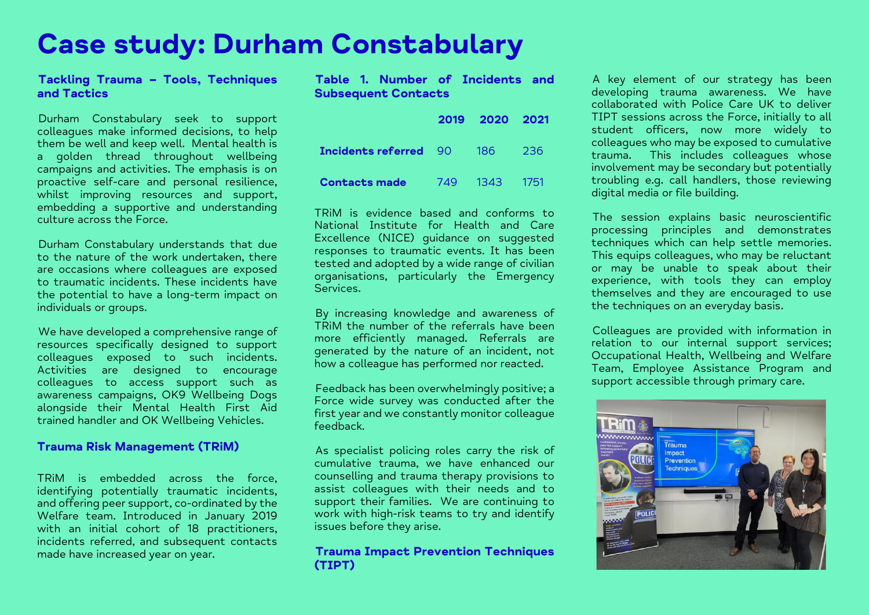# **Case study: Durham Constabulary**

### **Tackling Trauma – Tools, Techniques and Tactics**

Durham Constabulary seek to support colleagues make informed decisions, to help them be well and keep well. Mental health is a golden thread throughout wellbeing campaigns and activities. The emphasis is on proactive self-care and personal resilience, whilst improving resources and support, embedding a supportive and understanding culture across the Force.

Durham Constabulary understands that due to the nature of the work undertaken, there are occasions where colleagues are exposed to traumatic incidents. These incidents have the potential to have a long-term impact on individuals or groups.

We have developed a comprehensive range of resources specifically designed to support colleagues exposed to such incidents. Activities are designed to encourage colleagues to access support such as awareness campaigns, OK9 Wellbeing Dogs alongside their Mental Health First Aid trained handler and OK Wellbeing Vehicles.

### **Trauma Risk Management (TRiM)**

TRiM is embedded across the force, identifying potentially traumatic incidents, and offering peer support, co-ordinated by the Welfare team. Introduced in January 2019 with an initial cohort of 18 practitioners, incidents referred, and subsequent contacts made have increased year on year.

**Table 1. Number of Incidents and Subsequent Contacts** 

|                                  | 2019 2020 2021 |      |
|----------------------------------|----------------|------|
| <b>Incidents referred</b> 90 186 |                | -236 |
| <b>Contacts made</b>             | 749 1343 1751  |      |

TRiM is evidence based and conforms to National Institute for Health and Care Excellence (NICE) guidance on suggested responses to traumatic events. It has been tested and adopted by a wide range of civilian organisations, particularly the Emergency Services.

By increasing knowledge and awareness of TRiM the number of the referrals have been more efficiently managed. Referrals are generated by the nature of an incident, not how a colleague has performed nor reacted.

Feedback has been overwhelmingly positive; a Force wide survey was conducted after the first year and we constantly monitor colleague feedback.

As specialist policing roles carry the risk of cumulative trauma, we have enhanced our counselling and trauma therapy provisions to assist colleagues with their needs and to support their families. We are continuing to work with high-risk teams to try and identify issues before they arise.

## **Trauma Impact Prevention Techniques (TIPT)**

A key element of our strategy has been developing trauma awareness. We have collaborated with Police Care UK to deliver TIPT sessions across the Force, initially to all student officers, now more widely to colleagues who may be exposed to cumulative trauma. This includes colleagues whose involvement may be secondary but potentially troubling e.g. call handlers, those reviewing digital media or file building.

The session explains basic neuroscientific processing principles and demonstrates techniques which can help settle memories. This equips colleagues, who may be reluctant or may be unable to speak about their experience, with tools they can employ themselves and they are encouraged to use the techniques on an everyday basis.

Colleagues are provided with information in relation to our internal support services; Occupational Health, Wellbeing and Welfare Team, Employee Assistance Program and support accessible through primary care.